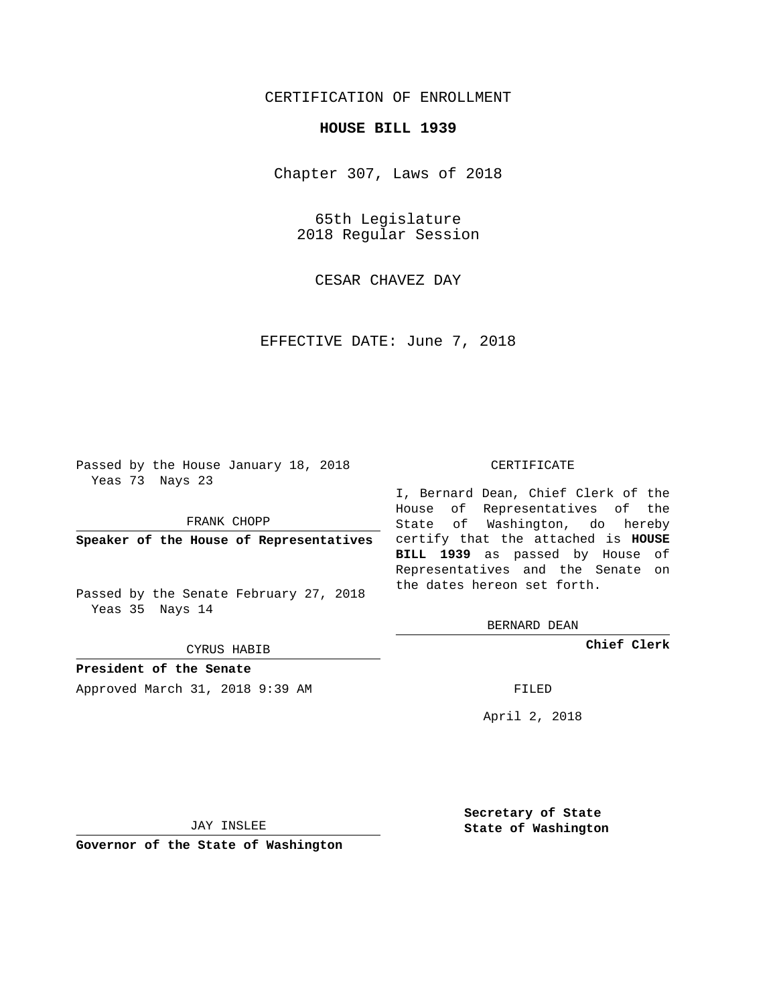## CERTIFICATION OF ENROLLMENT

## **HOUSE BILL 1939**

Chapter 307, Laws of 2018

65th Legislature 2018 Regular Session

CESAR CHAVEZ DAY

EFFECTIVE DATE: June 7, 2018

Passed by the House January 18, 2018 Yeas 73 Nays 23

FRANK CHOPP

Passed by the Senate February 27, 2018 Yeas 35 Nays 14

CYRUS HABIB

**President of the Senate**

Approved March 31, 2018 9:39 AM FILED

## CERTIFICATE

**Speaker of the House of Representatives** certify that the attached is **HOUSE** I, Bernard Dean, Chief Clerk of the House of Representatives of the State of Washington, do hereby **BILL 1939** as passed by House of Representatives and the Senate on the dates hereon set forth.

BERNARD DEAN

**Chief Clerk**

April 2, 2018

JAY INSLEE

**Governor of the State of Washington**

**Secretary of State State of Washington**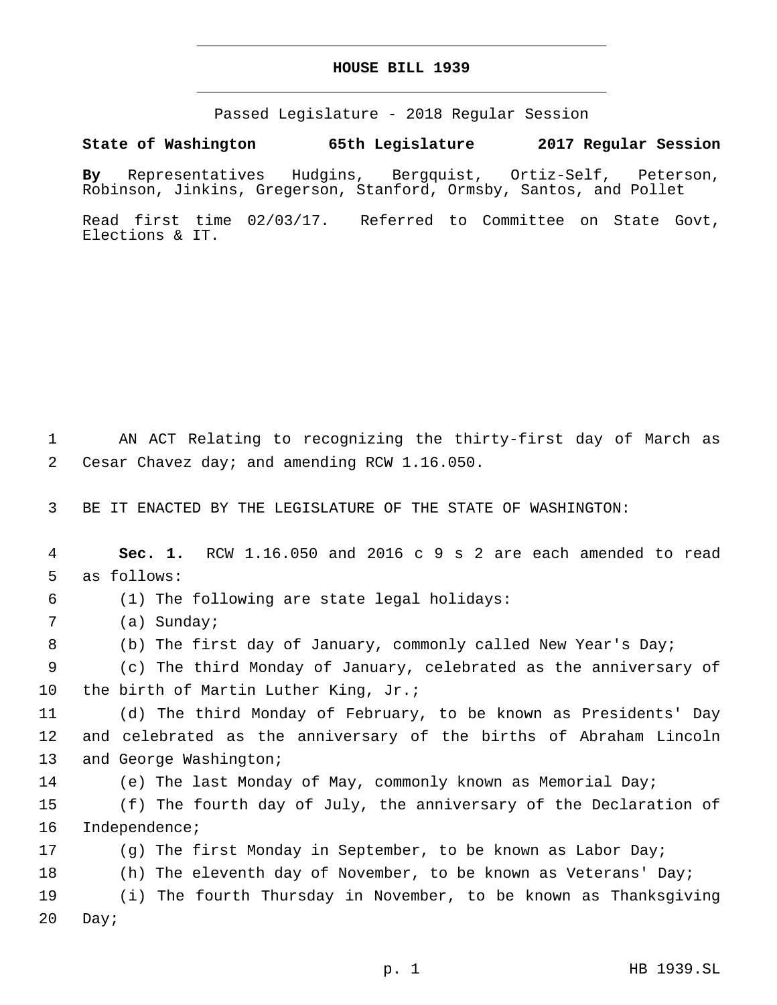## **HOUSE BILL 1939**

Passed Legislature - 2018 Regular Session

**State of Washington 65th Legislature 2017 Regular Session**

**By** Representatives Hudgins, Bergquist, Ortiz-Self, Peterson, Robinson, Jinkins, Gregerson, Stanford, Ormsby, Santos, and Pollet

Read first time 02/03/17. Referred to Committee on State Govt, Elections & IT.

1 AN ACT Relating to recognizing the thirty-first day of March as 2 Cesar Chavez day; and amending RCW 1.16.050.

3 BE IT ENACTED BY THE LEGISLATURE OF THE STATE OF WASHINGTON:

4 **Sec. 1.** RCW 1.16.050 and 2016 c 9 s 2 are each amended to read 5 as follows:

(1) The following are state legal holidays:6

7 (a) Sunday;

8 (b) The first day of January, commonly called New Year's Day;

9 (c) The third Monday of January, celebrated as the anniversary of 10 the birth of Martin Luther King, Jr.;

11 (d) The third Monday of February, to be known as Presidents' Day 12 and celebrated as the anniversary of the births of Abraham Lincoln 13 and George Washington;

14 (e) The last Monday of May, commonly known as Memorial Day;

15 (f) The fourth day of July, the anniversary of the Declaration of 16 Independence;

17 (g) The first Monday in September, to be known as Labor Day; 18 (h) The eleventh day of November, to be known as Veterans' Day;

19 (i) The fourth Thursday in November, to be known as Thanksgiving 20 Day;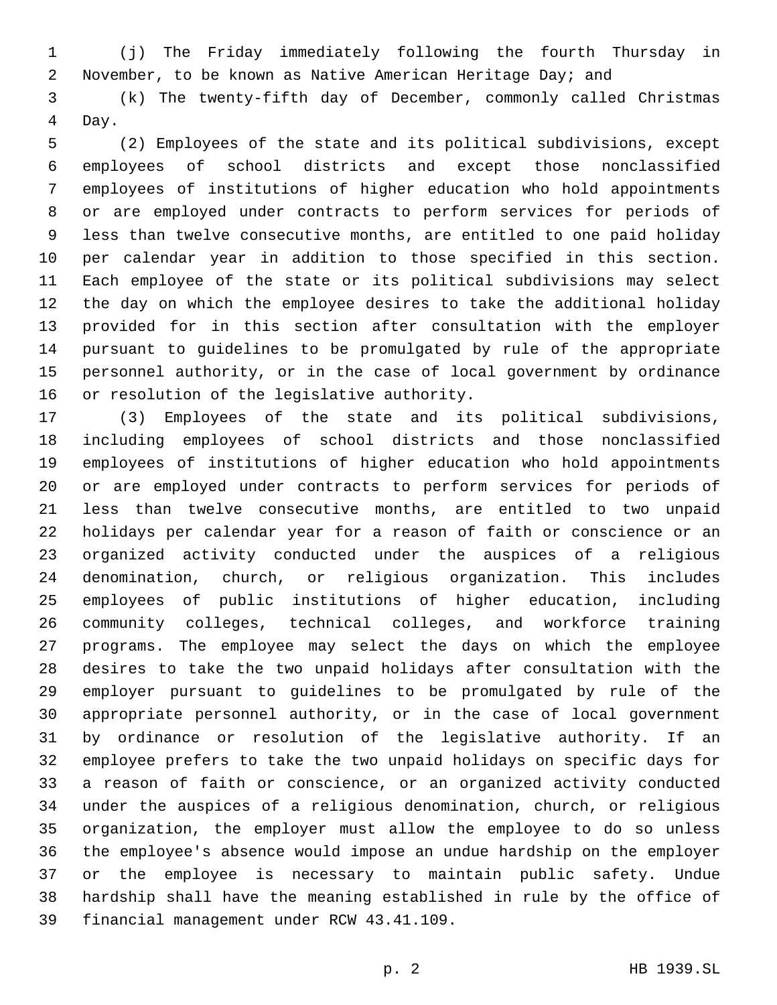(j) The Friday immediately following the fourth Thursday in November, to be known as Native American Heritage Day; and

 (k) The twenty-fifth day of December, commonly called Christmas 4 Day.

 (2) Employees of the state and its political subdivisions, except employees of school districts and except those nonclassified employees of institutions of higher education who hold appointments or are employed under contracts to perform services for periods of less than twelve consecutive months, are entitled to one paid holiday per calendar year in addition to those specified in this section. Each employee of the state or its political subdivisions may select the day on which the employee desires to take the additional holiday provided for in this section after consultation with the employer pursuant to guidelines to be promulgated by rule of the appropriate personnel authority, or in the case of local government by ordinance 16 or resolution of the legislative authority.

 (3) Employees of the state and its political subdivisions, including employees of school districts and those nonclassified employees of institutions of higher education who hold appointments or are employed under contracts to perform services for periods of less than twelve consecutive months, are entitled to two unpaid holidays per calendar year for a reason of faith or conscience or an organized activity conducted under the auspices of a religious denomination, church, or religious organization. This includes employees of public institutions of higher education, including community colleges, technical colleges, and workforce training programs. The employee may select the days on which the employee desires to take the two unpaid holidays after consultation with the employer pursuant to guidelines to be promulgated by rule of the appropriate personnel authority, or in the case of local government by ordinance or resolution of the legislative authority. If an employee prefers to take the two unpaid holidays on specific days for a reason of faith or conscience, or an organized activity conducted under the auspices of a religious denomination, church, or religious organization, the employer must allow the employee to do so unless the employee's absence would impose an undue hardship on the employer or the employee is necessary to maintain public safety. Undue hardship shall have the meaning established in rule by the office of 39 financial management under RCW 43.41.109.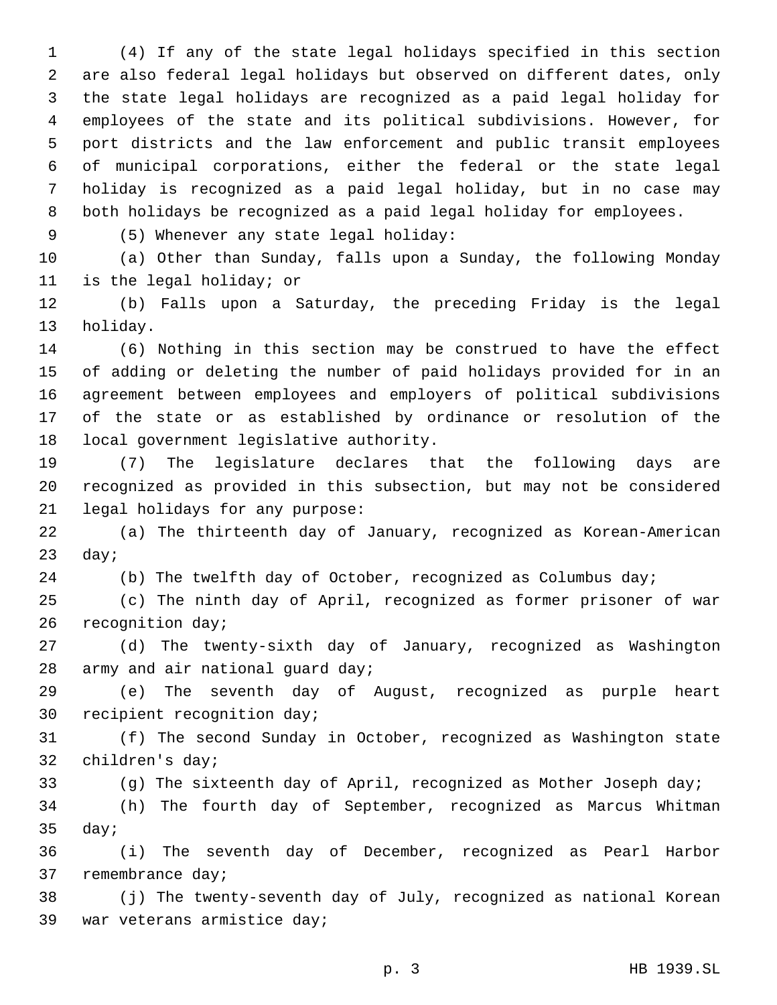(4) If any of the state legal holidays specified in this section are also federal legal holidays but observed on different dates, only the state legal holidays are recognized as a paid legal holiday for employees of the state and its political subdivisions. However, for port districts and the law enforcement and public transit employees of municipal corporations, either the federal or the state legal holiday is recognized as a paid legal holiday, but in no case may both holidays be recognized as a paid legal holiday for employees.

(5) Whenever any state legal holiday:9

 (a) Other than Sunday, falls upon a Sunday, the following Monday 11 is the legal holiday; or

 (b) Falls upon a Saturday, the preceding Friday is the legal 13 holiday.

 (6) Nothing in this section may be construed to have the effect of adding or deleting the number of paid holidays provided for in an agreement between employees and employers of political subdivisions of the state or as established by ordinance or resolution of the 18 local government legislative authority.

 (7) The legislature declares that the following days are recognized as provided in this subsection, but may not be considered 21 legal holidays for any purpose:

 (a) The thirteenth day of January, recognized as Korean-American day;

(b) The twelfth day of October, recognized as Columbus day;

 (c) The ninth day of April, recognized as former prisoner of war 26 recognition day;

 (d) The twenty-sixth day of January, recognized as Washington 28 army and air national guard day;

 (e) The seventh day of August, recognized as purple heart 30 recipient recognition day;

 (f) The second Sunday in October, recognized as Washington state 32 children's day;

(g) The sixteenth day of April, recognized as Mother Joseph day;

 (h) The fourth day of September, recognized as Marcus Whitman day;

 (i) The seventh day of December, recognized as Pearl Harbor 37 remembrance day;

 (j) The twenty-seventh day of July, recognized as national Korean 39 war veterans armistice day;

p. 3 HB 1939.SL